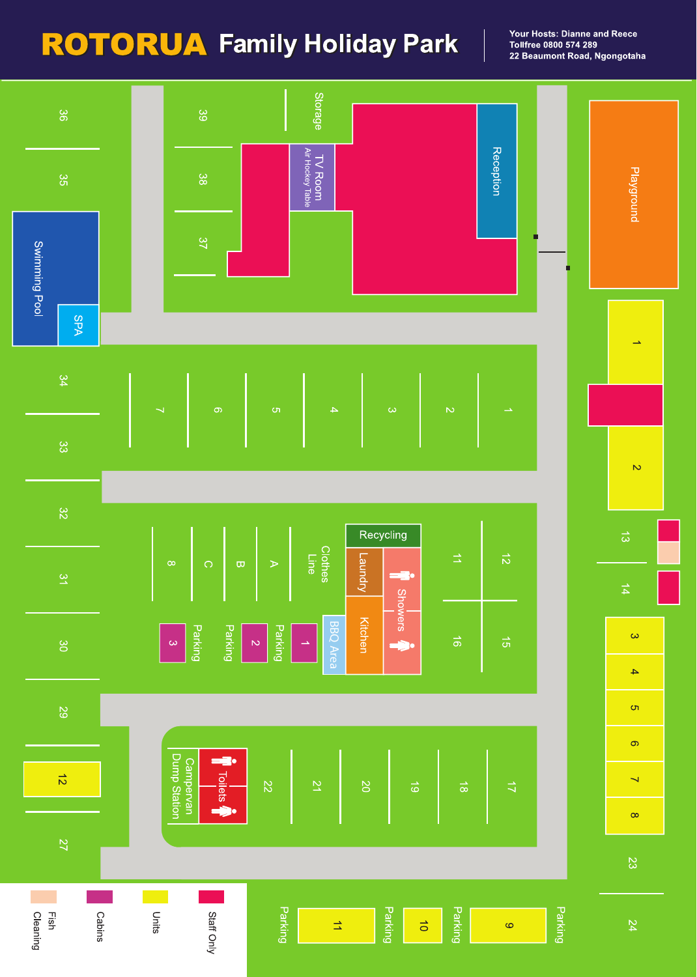# **ROTORUA** Family Holiday Park

Your Hosts: Dianne and Reece Tollfree 0800 574 289 22 Beaumont Road, Ngongotaha